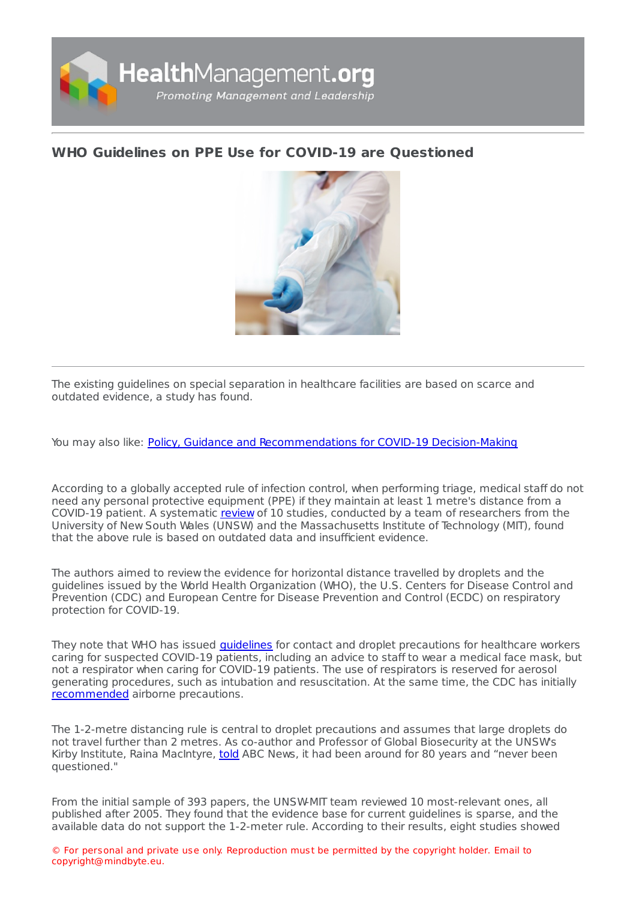

## **WHO Guidelines on PPE Use for COVID-19 are [Questioned](https://healthmanagement.org/s/who-guidelines-on-ppe-use-for-covid-19-are-questioned)**



The existing guidelines on special separation in healthcare facilities are based on scarce and outdated evidence, a study has found.

You may also like: Policy, Guidance and [Recommendations](https://healthmanagement.org/c/hospital/news/policy-guidance-and-recommendations-for-covid-19-decision-making) for COVID-19 Decision-Making

According to a globally accepted rule of infection control, when performing triage, medical staff do not need any personal protective equipment (PPE) if they maintain at least 1 metre's distance from a COVID-19 patient. A systematic [review](https://academic.oup.com/jid/advance-article/doi/10.1093/infdis/jiaa189/5820886) of 10 studies, conducted by a team of researchers from the University of New South Wales (UNSW) and the Massachusetts Institute of Technology (MIT), found that the above rule is based on outdated data and insufficient evidence.

The authors aimed to review the evidence for horizontal distance travelled by droplets and the guidelines issued by the World Health Organization (WHO), the U.S. Centers for Disease Control and Prevention (CDC) and European Centre for Disease Prevention and Control (ECDC) on respiratory protection for COVID-19.

They note that WHO has issued *quidelines* for contact and droplet precautions for healthcare workers caring for suspected COVID-19 patients, including an advice to staff to wear a medical face mask, but not a respirator when caring for COVID-19 patients. The use of respirators is reserved for aerosol generating procedures, such as intubation and resuscitation. At the same time, the CDC has initially [recommended](https://www.cdc.gov/coronavirus/2019-ncov/hcp/using-ppe.html) airborne precautions.

The 1-2-metre distancing rule is central to droplet precautions and assumes that large droplets do not travel further than 2 metres. As co-author and Professor of Global Biosecurity at the UNSW's Kirby Institute, Raina MacIntyre, [told](https://www.abc.net.au/news/2020-04-28/study-questions-who-coronavirus-distancing-guidelines/12184502) ABC News, it had been around for 80 years and "never been questioned."

From the initial sample of 393 papers, the UNSW-MIT team reviewed 10 most-relevant ones, all published after 2005. They found that the evidence base for current guidelines is sparse, and the available data do not support the 1-2-meter rule. According to their results, eight studies showed

© For personal and private use only. Reproduction must be permitted by the copyright holder. Email to copyright@mindbyte.eu.